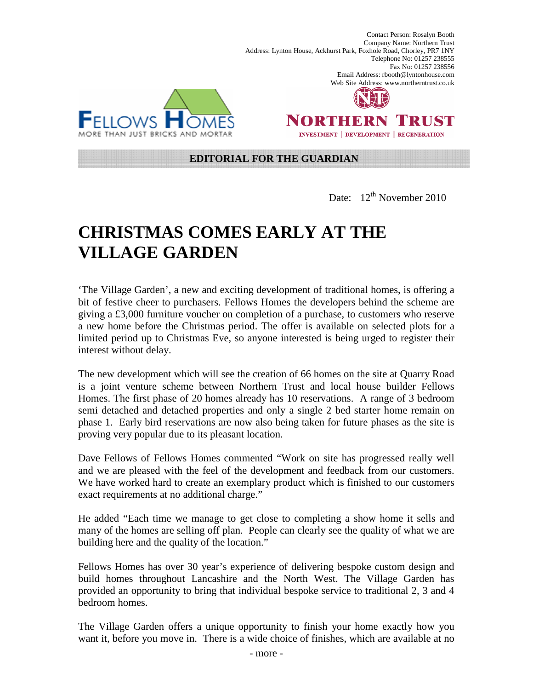MORE THAN JUST BRICKS AND MORTA



Address: Lynton House, Ackhurst Park, Foxhole Road, Chorley, PR7 1NY

Contact Person: Rosalyn Booth Company Name: Northern Trust

Telephone No: 01257 238555 Fax No: 01257 238556

Email Address: rbooth@lyntonhouse.com

**INVESTMENT | DEVELOPMENT | REGENERATION** 

## **EDITORIAL FOR THE GUARDIAN**

Date:  $12^{th}$  November 2010

## **CHRISTMAS COMES EARLY AT THE VILLAGE GARDEN**

'The Village Garden', a new and exciting development of traditional homes, is offering a bit of festive cheer to purchasers. Fellows Homes the developers behind the scheme are giving a £3,000 furniture voucher on completion of a purchase, to customers who reserve a new home before the Christmas period. The offer is available on selected plots for a limited period up to Christmas Eve, so anyone interested is being urged to register their interest without delay.

The new development which will see the creation of 66 homes on the site at Quarry Road is a joint venture scheme between Northern Trust and local house builder Fellows Homes. The first phase of 20 homes already has 10 reservations. A range of 3 bedroom semi detached and detached properties and only a single 2 bed starter home remain on phase 1. Early bird reservations are now also being taken for future phases as the site is proving very popular due to its pleasant location.

Dave Fellows of Fellows Homes commented "Work on site has progressed really well and we are pleased with the feel of the development and feedback from our customers. We have worked hard to create an exemplary product which is finished to our customers exact requirements at no additional charge."

He added "Each time we manage to get close to completing a show home it sells and many of the homes are selling off plan. People can clearly see the quality of what we are building here and the quality of the location."

Fellows Homes has over 30 year's experience of delivering bespoke custom design and build homes throughout Lancashire and the North West. The Village Garden has provided an opportunity to bring that individual bespoke service to traditional 2, 3 and 4 bedroom homes.

The Village Garden offers a unique opportunity to finish your home exactly how you want it, before you move in. There is a wide choice of finishes, which are available at no